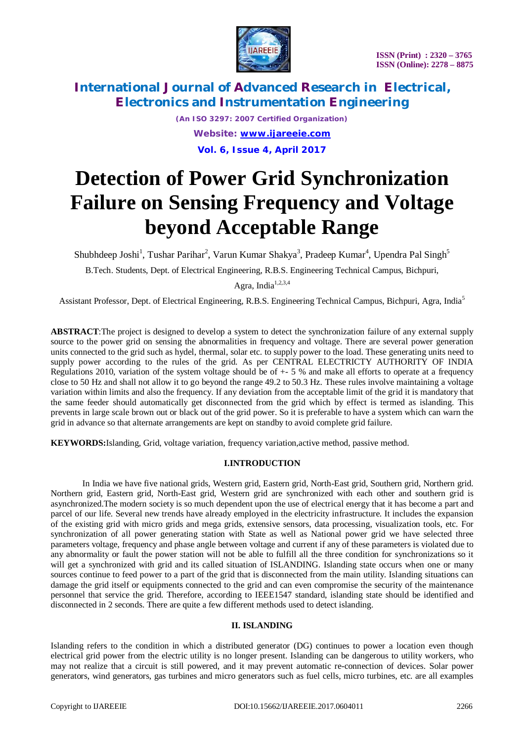

*(An ISO 3297: 2007 Certified Organization) Website: [www.ijareeie.com](http://www.ijareeie.com)* **Vol. 6, Issue 4, April 2017**

# **Detection of Power Grid Synchronization Failure on Sensing Frequency and Voltage beyond Acceptable Range**

Shubhdeep Joshi<sup>1</sup>, Tushar Parihar<sup>2</sup>, Varun Kumar Shakya<sup>3</sup>, Pradeep Kumar<sup>4</sup>, Upendra Pal Singh<sup>5</sup>

B.Tech. Students, Dept. of Electrical Engineering, R.B.S. Engineering Technical Campus, Bichpuri,

Agra, India $1,2,3,4$ 

Assistant Professor, Dept. of Electrical Engineering, R.B.S. Engineering Technical Campus, Bichpuri, Agra, India<sup>5</sup>

**ABSTRACT**:The project is designed to develop a system to detect the synchronization failure of any external supply source to the power grid on sensing the abnormalities in frequency and voltage. There are several power generation units connected to the grid such as hydel, thermal, solar etc. to supply power to the load. These generating units need to supply power according to the rules of the grid. As per CENTRAL ELECTRICTY AUTHORITY OF INDIA Regulations 2010, variation of the system voltage should be of  $+5\%$  and make all efforts to operate at a frequency close to 50 Hz and shall not allow it to go beyond the range 49.2 to 50.3 Hz. These rules involve maintaining a voltage variation within limits and also the frequency. If any deviation from the acceptable limit of the grid it is mandatory that the same feeder should automatically get disconnected from the grid which by effect is termed as islanding. This prevents in large scale brown out or black out of the grid power. So it is preferable to have a system which can warn the grid in advance so that alternate arrangements are kept on standby to avoid complete grid failure.

**KEYWORDS:**Islanding, Grid, voltage variation, frequency variation,active method, passive method.

#### **I.INTRODUCTION**

In India we have five national grids, Western grid, Eastern grid, North-East grid, Southern grid, Northern grid. Northern grid, Eastern grid, North-East grid, Western grid are synchronized with each other and southern grid is asynchronized.The modern society is so much dependent upon the use of electrical energy that it has become a part and parcel of our life. Several new trends have already employed in the electricity infrastructure. It includes the expansion of the existing grid with micro grids and mega grids, extensive sensors, data processing, visualization tools, etc. For synchronization of all power generating station with State as well as National power grid we have selected three parameters voltage, frequency and phase angle between voltage and current if any of these parameters is violated due to any abnormality or fault the power station will not be able to fulfill all the three condition for synchronizations so it will get a synchronized with grid and its called situation of ISLANDING. Islanding state occurs when one or many sources continue to feed power to a part of the grid that is disconnected from the main utility. Islanding situations can damage the grid itself or equipments connected to the grid and can even compromise the security of the maintenance personnel that service the grid. Therefore, according to IEEE1547 standard, islanding state should be identified and disconnected in 2 seconds. There are quite a few different methods used to detect islanding.

#### **II. ISLANDING**

Islanding refers to the condition in which a distributed generator (DG) continues to power a location even though electrical grid power from the electric utility is no longer present. Islanding can be dangerous to utility workers, who may not realize that a circuit is still powered, and it may prevent automatic re-connection of devices. Solar power generators, wind generators, gas turbines and micro generators such as fuel cells, micro turbines, etc. are all examples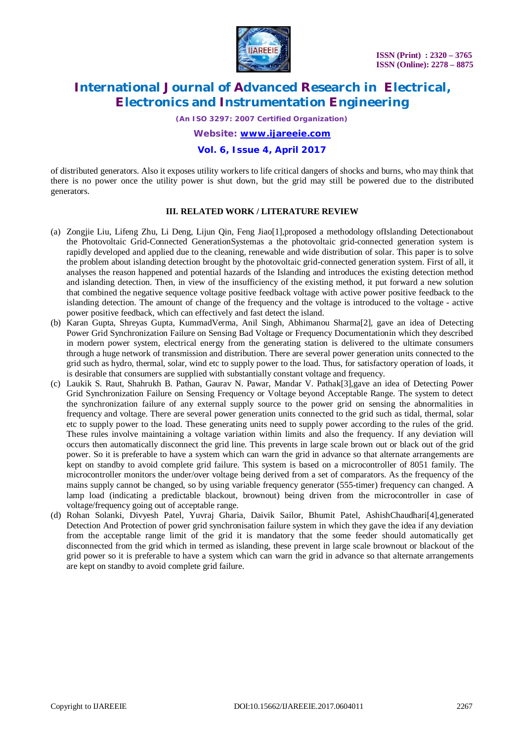

*(An ISO 3297: 2007 Certified Organization)*

*Website: [www.ijareeie.com](http://www.ijareeie.com)*

### **Vol. 6, Issue 4, April 2017**

of distributed generators. Also it exposes utility workers to life critical dangers of shocks and burns, who may think that there is no power once the utility power is shut down, but the grid may still be powered due to the distributed generators.

#### **III. RELATED WORK / LITERATURE REVIEW**

- (a) Zongjie Liu, Lifeng Zhu, Li Deng, Lijun Qin, Feng Jiao[1],proposed a methodology ofIslanding Detectionabout the Photovoltaic Grid-Connected GenerationSystemas a the photovoltaic grid-connected generation system is rapidly developed and applied due to the cleaning, renewable and wide distribution of solar. This paper is to solve the problem about islanding detection brought by the photovoltaic grid-connected generation system. First of all, it analyses the reason happened and potential hazards of the Islanding and introduces the existing detection method and islanding detection. Then, in view of the insufficiency of the existing method, it put forward a new solution that combined the negative sequence voltage positive feedback voltage with active power positive feedback to the islanding detection. The amount of change of the frequency and the voltage is introduced to the voltage - active power positive feedback, which can effectively and fast detect the island.
- (b) Karan Gupta, Shreyas Gupta, KummadVerma, Anil Singh, Abhimanou Sharma[2], gave an idea of Detecting Power Grid Synchronization Failure on Sensing Bad Voltage or Frequency Documentationin which they described in modern power system, electrical energy from the generating station is delivered to the ultimate consumers through a huge network of transmission and distribution. There are several power generation units connected to the grid such as hydro, thermal, solar, wind etc to supply power to the load. Thus, for satisfactory operation of loads, it is desirable that consumers are supplied with substantially constant voltage and frequency.
- (c) Laukik S. Raut, Shahrukh B. Pathan, Gaurav N. Pawar, Mandar V. Pathak[3],gave an idea of Detecting Power Grid Synchronization Failure on Sensing Frequency or Voltage beyond Acceptable Range. The system to detect the synchronization failure of any external supply source to the power grid on sensing the abnormalities in frequency and voltage. There are several power generation units connected to the grid such as tidal, thermal, solar etc to supply power to the load. These generating units need to supply power according to the rules of the grid. These rules involve maintaining a voltage variation within limits and also the frequency. If any deviation will occurs then automatically disconnect the grid line. This prevents in large scale brown out or black out of the grid power. So it is preferable to have a system which can warn the grid in advance so that alternate arrangements are kept on standby to avoid complete grid failure. This system is based on a microcontroller of 8051 family. The microcontroller monitors the under/over voltage being derived from a set of comparators. As the frequency of the mains supply cannot be changed, so by using variable frequency generator (555-timer) frequency can changed. A lamp load (indicating a predictable blackout, brownout) being driven from the microcontroller in case of voltage/frequency going out of acceptable range.
- (d) Rohan Solanki, Divyesh Patel, Yuvraj Gharia, Daivik Sailor, Bhumit Patel, AshishChaudhari[4],generated Detection And Protection of power grid synchronisation failure system in which they gave the idea if any deviation from the acceptable range limit of the grid it is mandatory that the some feeder should automatically get disconnected from the grid which in termed as islanding, these prevent in large scale brownout or blackout of the grid power so it is preferable to have a system which can warn the grid in advance so that alternate arrangements are kept on standby to avoid complete grid failure.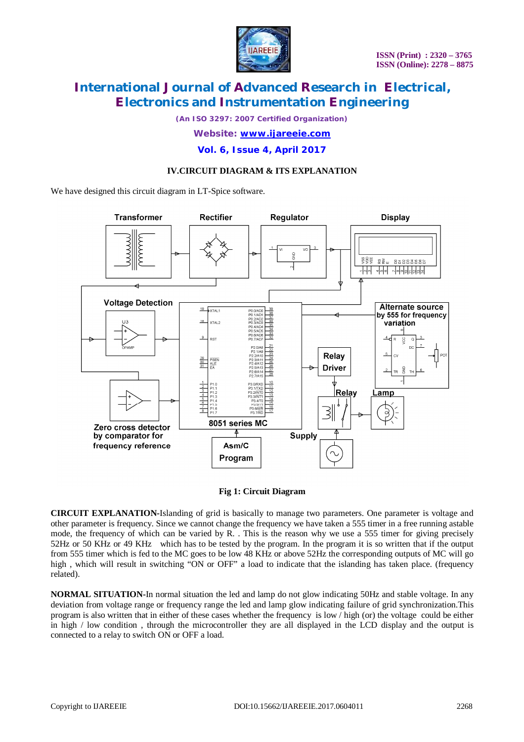

*(An ISO 3297: 2007 Certified Organization)*

*Website: [www.ijareeie.com](http://www.ijareeie.com)*

**Vol. 6, Issue 4, April 2017**

### **IV.CIRCUIT DIAGRAM & ITS EXPLANATION**

We have designed this circuit diagram in LT-Spice software.



#### **Fig 1: Circuit Diagram**

**CIRCUIT EXPLANATION-**Islanding of grid is basically to manage two parameters. One parameter is voltage and other parameter is frequency. Since we cannot change the frequency we have taken a 555 timer in a free running astable mode, the frequency of which can be varied by R. . This is the reason why we use a 555 timer for giving precisely 52Hz or 50 KHz or 49 KHz which has to be tested by the program. In the program it is so written that if the output from 555 timer which is fed to the MC goes to be low 48 KHz or above 52Hz the corresponding outputs of MC will go high, which will result in switching "ON or OFF" a load to indicate that the islanding has taken place. (frequency related).

**NORMAL SITUATION-**In normal situation the led and lamp do not glow indicating 50Hz and stable voltage. In any deviation from voltage range or frequency range the led and lamp glow indicating failure of grid synchronization.This program is also written that in either of these cases whether the frequency is low / high (or) the voltage could be either in high / low condition , through the microcontroller they are all displayed in the LCD display and the output is connected to a relay to switch ON or OFF a load.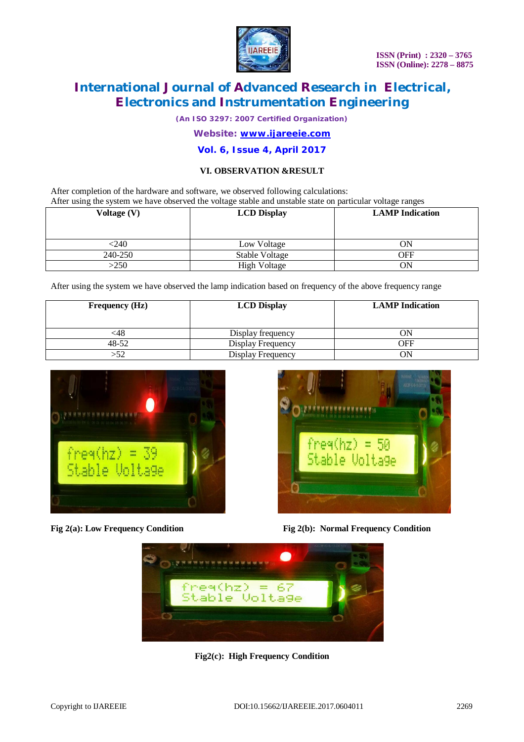

*(An ISO 3297: 2007 Certified Organization)*

*Website: [www.ijareeie.com](http://www.ijareeie.com)*

### **Vol. 6, Issue 4, April 2017**

### **VI. OBSERVATION &RESULT**

After completion of the hardware and software, we observed following calculations: After using the system we have observed the voltage stable and unstable state on particular voltage ranges

| Voltage (V) | <b>LCD Display</b>  | <b>LAMP</b> Indication |
|-------------|---------------------|------------------------|
| $<$ 240     | Low Voltage         | ON                     |
| 240-250     | Stable Voltage      | OFF                    |
| >250        | <b>High Voltage</b> | ON                     |

After using the system we have observed the lamp indication based on frequency of the above frequency range

| <b>Frequency (Hz)</b> | <b>LCD Display</b> | <b>LAMP</b> Indication |
|-----------------------|--------------------|------------------------|
| ∶48                   | Display frequency  | ON                     |
| 48-52                 | Display Frequency  | OFF                    |
| -52                   | Display Frequency  | ٦N                     |





**Fig 2(a):** Low Frequency Condition Fig **2(b):** Normal Frequency Condition



**Fig2(c): High Frequency Condition**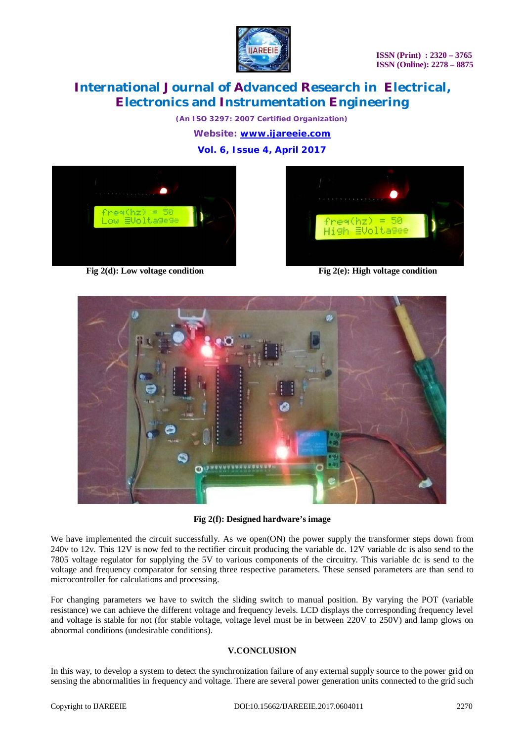



*(An ISO 3297: 2007 Certified Organization) Website: [www.ijareeie.com](http://www.ijareeie.com)* **Vol. 6, Issue 4, April 2017**



**Fig 2(d):** Low voltage condition **Fig 2(e):** High voltage condition





**Fig 2(f): Designed hardware's image**

We have implemented the circuit successfully. As we open(ON) the power supply the transformer steps down from 240v to 12v. This 12V is now fed to the rectifier circuit producing the variable dc. 12V variable dc is also send to the 7805 voltage regulator for supplying the 5V to various components of the circuitry. This variable dc is send to the voltage and frequency comparator for sensing three respective parameters. These sensed parameters are than send to microcontroller for calculations and processing.

For changing parameters we have to switch the sliding switch to manual position. By varying the POT (variable resistance) we can achieve the different voltage and frequency levels. LCD displays the corresponding frequency level and voltage is stable for not (for stable voltage, voltage level must be in between 220V to 250V) and lamp glows on abnormal conditions (undesirable conditions).

### **V.CONCLUSION**

In this way, to develop a system to detect the synchronization failure of any external supply source to the power grid on sensing the abnormalities in frequency and voltage. There are several power generation units connected to the grid such